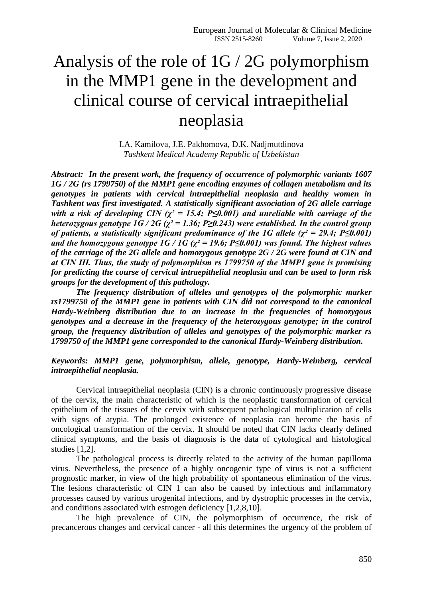# Analysis of the role of 1G / 2G polymorphism in the MMP1 gene in the development and clinical course of cervical intraepithelial neoplasia

I.A. Kamilova, J.E. Pakhomova, D.K. Nadjmutdinova *Tashkent Medical Academy Republic of Uzbekistan*

*Abstract: In the present work, the frequency of occurrence of polymorphic variants 1607 1G / 2G (rs 1799750) of the MMP1 gene encoding enzymes of collagen metabolism and its genotypes in patients with cervical intraepithelial neoplasia and healthy women in Tashkent was first investigated. A statistically significant association of 2G allele carriage with a risk of developing CIN (* $\chi^2 = 15.4$ *; P* $\leq 0.001$ *) and unreliable with carriage of the heterozygous genotype*  $1G / 2G$  *(* $\chi^2 = 1.36$ *; P* $\geq 0.243$ *) were established. In the control group of patients, a statistically significant predominance of the 1G allele (* $\chi^2 = 29.4$ *; P* $\leq 0.001$ *) and the homozygous genotype*  $1G / 1G$  *(* $\chi^2 = 19.6$ *; P* $\leq 0.001$ *) was found. The highest values of the carriage of the 2G allele and homozygous genotype 2G / 2G were found at CIN and at CIN ΙΙΙ. Thus, the study of polymorphism rs 1799750 of the MMP1 gene is promising for predicting the course of cervical intraepithelial neoplasia and can be used to form risk groups for the development of this pathology.* 

*The frequency distribution of alleles and genotypes of the polymorphic marker rs1799750 of the MMP1 gene in patients with CIN did not correspond to the canonical Hardy-Weinberg distribution due to an increase in the frequencies of homozygous genotypes and a decrease in the frequency of the heterozygous genotype; in the control group, the frequency distribution of alleles and genotypes of the polymorphic marker rs 1799750 of the MMP1 gene corresponded to the canonical Hardy-Weinberg distribution.*

## *Keywords: MMP1 gene, polymorphism, allele, genotype, Hardy-Weinberg, cervical intraepithelial neoplasia.*

Cervical intraepithelial neoplasia (CIN) is a chronic continuously progressive disease of the cervix, the main characteristic of which is the neoplastic transformation of cervical epithelium of the tissues of the cervix with subsequent pathological multiplication of cells with signs of atypia. The prolonged existence of neoplasia can become the basis of oncological transformation of the cervix. It should be noted that CIN lacks clearly defined clinical symptoms, and the basis of diagnosis is the data of cytological and histological studies [1,2].

The pathological process is directly related to the activity of the human papilloma virus. Nevertheless, the presence of a highly oncogenic type of virus is not a sufficient prognostic marker, in view of the high probability of spontaneous elimination of the virus. The lesions characteristic of CIN 1 can also be caused by infectious and inflammatory processes caused by various urogenital infections, and by dystrophic processes in the cervix, and conditions associated with estrogen deficiency [1,2,8,10].

The high prevalence of CIN, the polymorphism of occurrence, the risk of precancerous changes and cervical cancer - all this determines the urgency of the problem of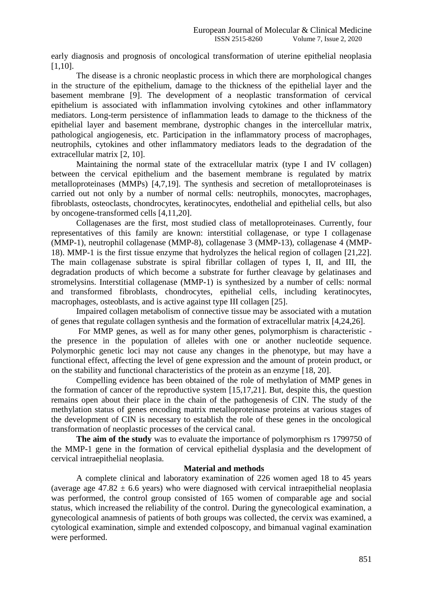early diagnosis and prognosis of oncological transformation of uterine epithelial neoplasia [1,10].

The disease is a chronic neoplastic process in which there are morphological changes in the structure of the epithelium, damage to the thickness of the epithelial layer and the basement membrane [9]. The development of a neoplastic transformation of cervical epithelium is associated with inflammation involving cytokines and other inflammatory mediators. Long-term persistence of inflammation leads to damage to the thickness of the epithelial layer and basement membrane, dystrophic changes in the intercellular matrix, pathological angiogenesis, etc. Participation in the inflammatory process of macrophages, neutrophils, cytokines and other inflammatory mediators leads to the degradation of the extracellular matrix [2, 10].

Maintaining the normal state of the extracellular matrix (type I and IV collagen) between the cervical epithelium and the basement membrane is regulated by matrix metalloproteinases (MMPs) [4,7,19]. The synthesis and secretion of metalloproteinases is carried out not only by a number of normal cells: neutrophils, monocytes, macrophages, fibroblasts, osteoclasts, chondrocytes, keratinocytes, endothelial and epithelial cells, but also by oncogene-transformed cells [4,11,20].

Collagenases are the first, most studied class of metalloproteinases. Currently, four representatives of this family are known: interstitial collagenase, or type I collagenase (MMP-1), neutrophil collagenase (MMP-8), collagenase 3 (MMP-13), collagenase 4 (MMP-18). MMP-1 is the first tissue enzyme that hydrolyzes the helical region of collagen [21,22]. The main collagenase substrate is spiral fibrillar collagen of types I, II, and III, the degradation products of which become a substrate for further cleavage by gelatinases and stromelysins. Interstitial collagenase (MMP-1) is synthesized by a number of cells: normal and transformed fibroblasts, chondrocytes, epithelial cells, including keratinocytes, macrophages, osteoblasts, and is active against type III collagen [25].

Impaired collagen metabolism of connective tissue may be associated with a mutation of genes that regulate collagen synthesis and the formation of extracellular matrix [4,24,26].

For MMP genes, as well as for many other genes, polymorphism is characteristic the presence in the population of alleles with one or another nucleotide sequence. Polymorphic genetic loci may not cause any changes in the phenotype, but may have a functional effect, affecting the level of gene expression and the amount of protein product, or on the stability and functional characteristics of the protein as an enzyme [18, 20].

Compelling evidence has been obtained of the role of methylation of MMP genes in the formation of cancer of the reproductive system [15,17,21]. But, despite this, the question remains open about their place in the chain of the pathogenesis of CIN. The study of the methylation status of genes encoding matrix metalloproteinase proteins at various stages of the development of CIN is necessary to establish the role of these genes in the oncological transformation of neoplastic processes of the cervical canal.

**The aim of the study** was to evaluate the importance of polymorphism rs 1799750 of the MMP-1 gene in the formation of cervical epithelial dysplasia and the development of cervical intraepithelial neoplasia.

#### **Material and methods**

A complete clinical and laboratory examination of 226 women aged 18 to 45 years (average age  $47.82 \pm 6.6$  years) who were diagnosed with cervical intraepithelial neoplasia was performed, the control group consisted of 165 women of comparable age and social status, which increased the reliability of the control. During the gynecological examination, a gynecological anamnesis of patients of both groups was collected, the cervix was examined, a cytological examination, simple and extended colposcopy, and bimanual vaginal examination were performed.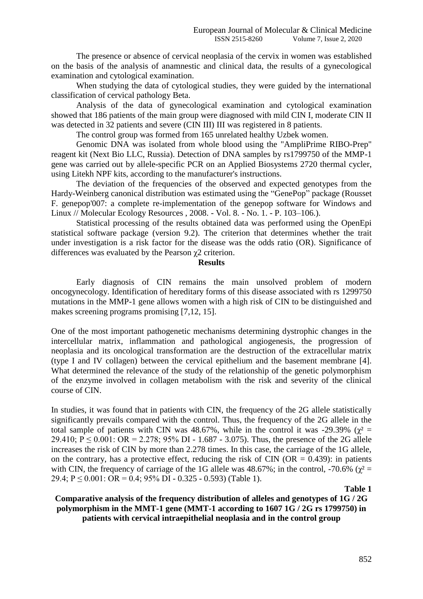The presence or absence of cervical neoplasia of the cervix in women was established on the basis of the analysis of anamnestic and clinical data, the results of a gynecological examination and cytological examination.

When studying the data of cytological studies, they were guided by the international classification of cervical pathology Beta.

Analysis of the data of gynecological examination and cytological examination showed that 186 patients of the main group were diagnosed with mild CIN I, moderate CIN II was detected in 32 patients and severe (CIN III) III was registered in 8 patients.

The control group was formed from 165 unrelated healthy Uzbek women.

Genomic DNA was isolated from whole blood using the "AmpliPrime RIBO-Prep" reagent kit (Next Bio LLC, Russia). Detection of DNA samples by rs1799750 of the MMP-1 gene was carried out by allele-specific PCR on an Applied Biosystems 2720 thermal cycler, using Litekh NPF kits, according to the manufacturer's instructions.

The deviation of the frequencies of the observed and expected genotypes from the Hardy-Weinberg canonical distribution was estimated using the "GenePop" package (Rousset F. genepop'007: a complete re-implementation of the genepop software for Windows and Linux // Molecular Ecology Resources , 2008. - Vol. 8. - No. 1. - P. 103–106.).

Statistical processing of the results obtained data was performed using the OpenEpi statistical software package (version 9.2). The criterion that determines whether the trait under investigation is a risk factor for the disease was the odds ratio (OR). Significance of differences was evaluated by the Pearson  $\chi$ 2 criterion.

#### **Results**

Early diagnosis of CIN remains the main unsolved problem of modern oncogynecology. Identification of hereditary forms of this disease associated with rs 1299750 mutations in the MMP-1 gene allows women with a high risk of CIN to be distinguished and makes screening programs promising [7,12, 15].

One of the most important pathogenetic mechanisms determining dystrophic changes in the intercellular matrix, inflammation and pathological angiogenesis, the progression of neoplasia and its oncological transformation are the destruction of the extracellular matrix (type I and IV collagen) between the cervical epithelium and the basement membrane [4]. What determined the relevance of the study of the relationship of the genetic polymorphism of the enzyme involved in collagen metabolism with the risk and severity of the clinical course of CIN.

In studies, it was found that in patients with CIN, the frequency of the 2G allele statistically significantly prevails compared with the control. Thus, the frequency of the 2G allele in the total sample of patients with CIN was 48.67%, while in the control it was -29.39% ( $\chi^2$  = 29.410;  $P \le 0.001$ : OR = 2.278; 95% DI - 1.687 - 3.075). Thus, the presence of the 2G allele increases the risk of CIN by more than 2.278 times. In this case, the carriage of the 1G allele, on the contrary, has a protective effect, reducing the risk of CIN ( $OR = 0.439$ ): in patients with CIN, the frequency of carriage of the 1G allele was 48.67%; in the control, -70.6% ( $\gamma^2$  = 29.4;  $P \le 0.001$ :  $OR = 0.4$ ;  $95\%$  DI - 0.325 - 0.593) (Table 1).

 **Table 1**

**Comparative analysis of the frequency distribution of alleles and genotypes of 1G / 2G polymorphism in the MMT-1 gene (MMT-1 according to 1607 1G / 2G rs 1799750) in patients with cervical intraepithelial neoplasia and in the control group**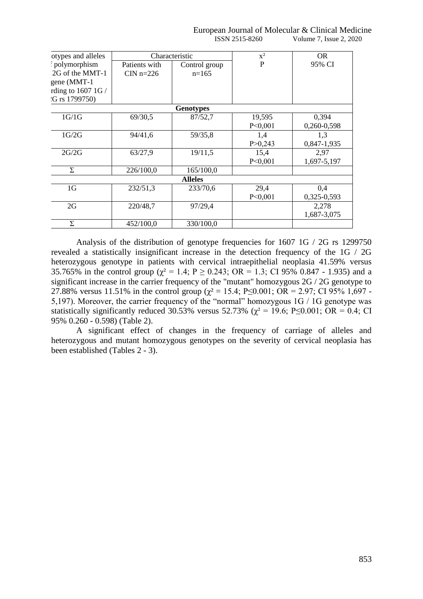European Journal of Molecular & Clinical Medicine ISSN 2515-8260 Volume 7, Issue 2, 2020

| otypes and alleles |                  | Characteristic | $X^2$     | OR.         |  |  |  |  |  |
|--------------------|------------------|----------------|-----------|-------------|--|--|--|--|--|
| polymorphism       | Patients with    | Control group  | P         | 95% CI      |  |  |  |  |  |
| 2G of the MMT-1    | CIN $n=226$      | $n=165$        |           |             |  |  |  |  |  |
| gene (MMT-1        |                  |                |           |             |  |  |  |  |  |
| rding to $16071G/$ |                  |                |           |             |  |  |  |  |  |
| G rs 1799750)      |                  |                |           |             |  |  |  |  |  |
|                    | <b>Genotypes</b> |                |           |             |  |  |  |  |  |
| 1G/1G              | 69/30,5          | 87/52,7        | 19,595    | 0,394       |  |  |  |  |  |
|                    |                  |                | P < 0,001 | 0,260-0,598 |  |  |  |  |  |
| 1G/2G              | 94/41,6          | 59/35,8        | 1,4       | 1,3         |  |  |  |  |  |
|                    |                  |                | P > 0,243 | 0,847-1,935 |  |  |  |  |  |
| 2G/2G              | 63/27,9          | 19/11,5        | 15,4      | 2,97        |  |  |  |  |  |
|                    |                  |                | P < 0,001 | 1,697-5,197 |  |  |  |  |  |
| Σ                  | 226/100,0        | 165/100,0      |           |             |  |  |  |  |  |
|                    | <b>Alleles</b>   |                |           |             |  |  |  |  |  |
| 1 <sub>G</sub>     | 232/51,3         | 233/70,6       | 29,4      | 0.4         |  |  |  |  |  |
|                    |                  |                | P < 0,001 | 0,325-0,593 |  |  |  |  |  |
| 2G                 | 220/48,7         | 97/29,4        |           | 2,278       |  |  |  |  |  |
|                    |                  |                |           | 1,687-3,075 |  |  |  |  |  |
| Σ                  | 452/100,0        | 330/100,0      |           |             |  |  |  |  |  |

Analysis of the distribution of genotype frequencies for 1607 1G / 2G rs 1299750 revealed a statistically insignificant increase in the detection frequency of the 1G / 2G heterozygous genotype in patients with cervical intraepithelial neoplasia 41.59% versus 35.765% in the control group ( $\chi^2 = 1.4$ ; P  $\ge 0.243$ ; OR = 1.3; CI 95% 0.847 - 1.935) and a significant increase in the carrier frequency of the "mutant" homozygous 2G / 2G genotype to 27.88% versus 11.51% in the control group ( $\chi^2 = 15.4$ ; P $\leq$ 0.001; OR = 2.97; CI 95% 1,697 -5,197). Moreover, the carrier frequency of the "normal" homozygous 1G / 1G genotype was statistically significantly reduced 30.53% versus 52.73% ( $\gamma^2 = 19.6$ ; P $\leq 0.001$ ; OR = 0.4; CI 95% 0.260 - 0.598) (Table 2).

A significant effect of changes in the frequency of carriage of alleles and heterozygous and mutant homozygous genotypes on the severity of cervical neoplasia has been established (Tables 2 - 3).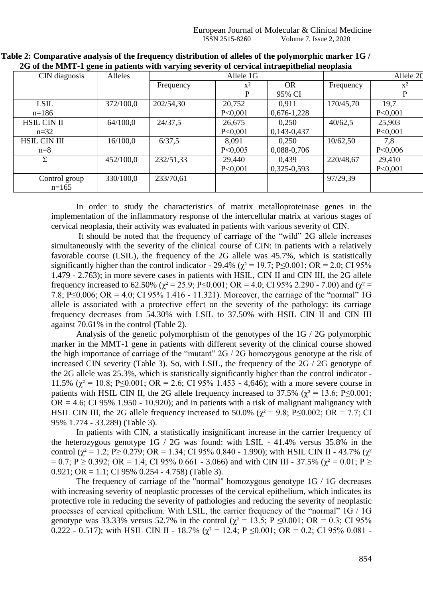|                     |           | ີ         |           |               |           |                |  |
|---------------------|-----------|-----------|-----------|---------------|-----------|----------------|--|
| CIN diagnosis       | Alleles   | Allele 1G |           |               | Allele 2C |                |  |
|                     |           | Frequency | $X^2$     | <b>OR</b>     | Frequency | $\mathbf{x}^2$ |  |
|                     |           |           | P         | 95% CI        |           | P              |  |
| <b>LSIL</b>         | 372/100,0 | 202/54,30 | 20,752    | 0.911         | 170/45,70 | 19,7           |  |
| $n=186$             |           |           | P<0,001   | $0,676-1,228$ |           | P < 0,001      |  |
| <b>HSIL CIN II</b>  | 64/100,0  | 24/37,5   | 26,675    | 0,250         | 40/62,5   | 25,903         |  |
| $n=32$              |           |           | P<0,001   | $0,143-0,437$ |           | P < 0,001      |  |
| <b>HSIL CIN III</b> | 16/100,0  | 6/37,5    | 8,091     | 0.250         | 10/62,50  | 7,8            |  |
| $n=8$               |           |           | P<0,005   | 0,088-0,706   |           | P < 0,006      |  |
| Σ                   | 452/100,0 | 232/51,33 | 29,440    | 0,439         | 220/48,67 | 29,410         |  |
|                     |           |           | P < 0,001 | $0,325-0,593$ |           | P < 0,001      |  |
| Control group       | 330/100,0 | 233/70,61 |           |               | 97/29,39  |                |  |
| $n=165$             |           |           |           |               |           |                |  |

| Table 2: Comparative analysis of the frequency distribution of alleles of the polymorphic marker $1G$ / |  |
|---------------------------------------------------------------------------------------------------------|--|
| 2G of the MMT-1 gene in patients with varying severity of cervical intraepithelial neoplasia            |  |

In order to study the characteristics of matrix metalloproteinase genes in the implementation of the inflammatory response of the intercellular matrix at various stages of cervical neoplasia, their activity was evaluated in patients with various severity of CIN.

It should be noted that the frequency of carriage of the "wild" 2G allele increases simultaneously with the severity of the clinical course of CIN: in patients with a relatively favorable course (LSIL), the frequency of the 2G allele was 45.7%, which is statistically significantly higher than the control indicator - 29.4% ( $\chi^2$  = 19.7; P≤0.001; OR = 2.0; CI 95% 1.479 - 2.763); in more severe cases in patients with HSIL, CIN ΙΙ and CIN ΙΙΙ, the 2G allele frequency increased to 62.50% ( $\chi^2$  = 25.9; P ≤ 0.001; OR = 4.0; CI 95% 2.290 - 7.00) and ( $\chi^2$  = 7.8; P≤0.006; OR = 4.0; CI 95% 1.416 - 11.321). Moreover, the carriage of the "normal" 1G allele is associated with a protective effect on the severity of the pathology: its carriage frequency decreases from 54.30% with LSIL to 37.50% with HSIL CIN ΙΙ and CIN ΙΙΙ against 70.61% in the control (Table 2).

Analysis of the genetic polymorphism of the genotypes of the 1G / 2G polymorphic marker in the MMT-1 gene in patients with different severity of the clinical course showed the high importance of carriage of the "mutant" 2G / 2G homozygous genotype at the risk of increased CIN severity (Table 3). So, with LSIL, the frequency of the 2G / 2G genotype of the 2G allele was 25.3%, which is statistically significantly higher than the control indicator - 11.5% ( $\chi^2$  = 10.8; P $\leq$ 0.001; OR = 2.6; CI 95% 1.453 - 4,646); with a more severe course in patients with HSIL CIN II, the 2G allele frequency increased to 37.5% ( $\chi^2$  = 13.6; P≤0.001;  $OR = 4.6$ ; CI 95% 1.950 - 10.920); and in patients with a risk of malignant malignancy with HSIL CIN III, the 2G allele frequency increased to 50.0% ( $\chi^2 = 9.8$ ; P $\leq$ 0.002; OR = 7.7; CI 95% 1.774 - 33.289) (Table 3).

In patients with CIN, a statistically insignificant increase in the carrier frequency of the heterozygous genotype 1G / 2G was found: with LSIL - 41.4% versus 35.8% in the control ( $\chi^2 = 1.2$ ; P $\geq$  0.279; OR = 1.34; CI 95% 0.840 - 1.990); with HSIL CIN II - 43.7% ( $\chi^2$ )  $= 0.7$ ; P  $\geq$  0.392; OR = 1.4; CI 95% 0.661 - 3.066) and with CIN III - 37.5% ( $\chi^2 = 0.01$ ; P  $\geq$ 0.921; OR = 1.1; CI 95% 0.254 - 4.758) (Table 3).

The frequency of carriage of the "normal" homozygous genotype 1G / 1G decreases with increasing severity of neoplastic processes of the cervical epithelium, which indicates its protective role in reducing the severity of pathologies and reducing the severity of neoplastic processes of cervical epithelium. With LSIL, the carrier frequency of the "normal" 1G / 1G genotype was 33.33% versus 52.7% in the control ( $\chi^2 = 13.5$ ; P  $\leq 0.001$ ; OR = 0.3; CI 95% 0.222 - 0.517); with HSIL CIN II - 18.7% ( $\chi^2$  = 12.4; P  $\leq$  0.001; OR = 0.2; CI 95% 0.081 -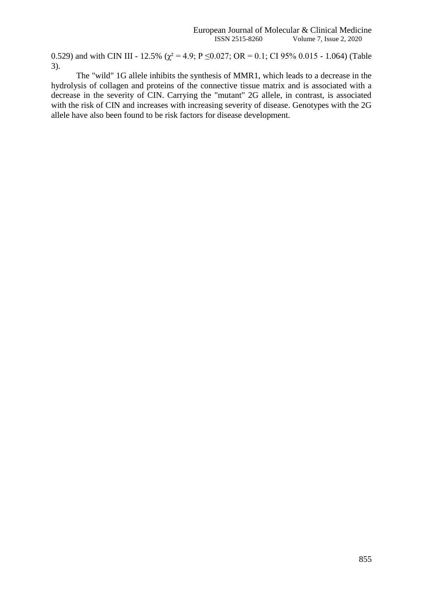0.529) and with CIN III - 12.5% ( $\chi^2$  = 4.9; P  $\leq$  0.027; OR = 0.1; CI 95% 0.015 - 1.064) (Table 3).

The "wild" 1G allele inhibits the synthesis of MMR1, which leads to a decrease in the hydrolysis of collagen and proteins of the connective tissue matrix and is associated with a decrease in the severity of CIN. Carrying the "mutant" 2G allele, in contrast, is associated with the risk of CIN and increases with increasing severity of disease. Genotypes with the 2G allele have also been found to be risk factors for disease development.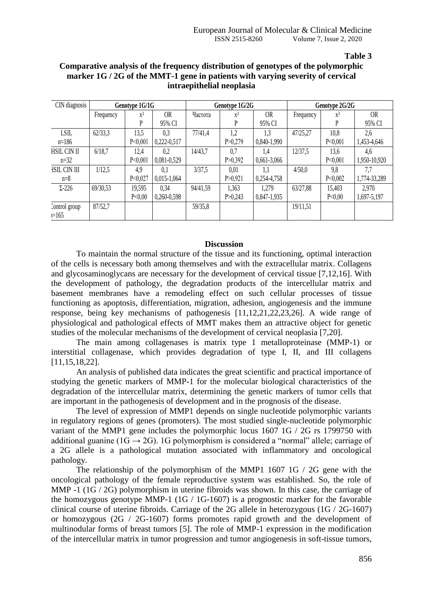**Table 3** 

| CIN diagnosis            | Genotype 1G/1G |           |               | Genotype 1G/2G |           |               | Genotype 2G/2G |         |              |
|--------------------------|----------------|-----------|---------------|----------------|-----------|---------------|----------------|---------|--------------|
|                          | Frequency      | $x^2$     | <b>OR</b>     | Частота        | $x^2$     | <b>OR</b>     | Frequency      | $x^2$   | <b>OR</b>    |
|                          |                | P         | 95% CI        |                | P         | 95% CI        |                |         | 95% CI       |
| LSIL                     | 62/33,3        | 13,5      | 0.3           | 77/41,4        | 1,2       | 1,3           | 47/25,27       | 10,8    | 2,6          |
| $n=186$                  |                | P < 0.001 | $0,222-0,517$ |                | P > 0,279 | 0,840-1,990   |                | P<0,001 | 1,453-4,646  |
| HSIL CIN II              | 6/18,7         | 12.4      | 0.2           | 14/43,7        | 0.7       | 1.4           | 12/37,5        | 13,6    | 4.6          |
| $n=32$                   |                | P < 0.001 | 0,081-0,529   |                | P > 0,392 | $0,661-3,066$ |                | P<0,001 | 1,950-10,920 |
| <b>HSIL CIN III</b>      | 1/12,5         | 4,9       | 0.1           | 3/37,5         | 0,01      | 1.1           | 4/50,0         | 9,8     | 7,7          |
| $n=8$                    |                | P < 0.027 | $0,015-1,064$ |                | P > 0.921 | 0,254-4,758   |                | P<0,002 | 1,774-33,289 |
| $\Sigma$ -226            | 69/30,53       | 19,595    | 0.34          | 94/41,59       | 1,363     | 1,279         | 63/27,88       | 15,403  | 2,970        |
|                          |                | P<0,00    | $0,260-0,598$ |                | P > 0.243 | $0,847-1,935$ |                | P<0,00  | 1,697-5,197  |
| Control group<br>$1=165$ | 87/52,7        |           |               | 59/35,8        |           |               | 19/11,51       |         |              |

## **Comparative analysis of the frequency distribution of genotypes of the polymorphic marker 1G / 2G of the MMT-1 gene in patients with varying severity of cervical intraepithelial neoplasia**

### **Discussion**

To maintain the normal structure of the tissue and its functioning, optimal interaction of the cells is necessary both among themselves and with the extracellular matrix. Collagens and glycosaminoglycans are necessary for the development of cervical tissue [7,12,16]. With the development of pathology, the degradation products of the intercellular matrix and basement membranes have a remodeling effect on such cellular processes of tissue functioning as apoptosis, differentiation, migration, adhesion, angiogenesis and the immune response, being key mechanisms of pathogenesis [11,12,21,22,23,26]. A wide range of physiological and pathological effects of MMT makes them an attractive object for genetic studies of the molecular mechanisms of the development of cervical neoplasia [7,20].

The main among collagenases is matrix type 1 metalloproteinase (MMP-1) or interstitial collagenase, which provides degradation of type I, II, and III collagens [11,15,18,22].

An analysis of published data indicates the great scientific and practical importance of studying the genetic markers of MMP-1 for the molecular biological characteristics of the degradation of the intercellular matrix, determining the genetic markers of tumor cells that are important in the pathogenesis of development and in the prognosis of the disease.

The level of expression of MMP1 depends on single nucleotide polymorphic variants in regulatory regions of genes (promoters). The most studied single-nucleotide polymorphic variant of the MMP1 gene includes the polymorphic locus 1607 1G / 2G rs 1799750 with additional guanine (1G  $\rightarrow$  2G). 1G polymorphism is considered a "normal" allele; carriage of a 2G allele is a pathological mutation associated with inflammatory and oncological pathology.

The relationship of the polymorphism of the MMP1 1607 1G / 2G gene with the oncological pathology of the female reproductive system was established. So, the role of MMP -1 (1G / 2G) polymorphism in uterine fibroids was shown. In this case, the carriage of the homozygous genotype MMP-1 (1G / 1G-1607) is a prognostic marker for the favorable clinical course of uterine fibroids. Carriage of the 2G allele in heterozygous (1G / 2G-1607) or homozygous (2G / 2G-1607) forms promotes rapid growth and the development of multinodular forms of breast tumors [5]. The role of MMP-1 expression in the modification of the intercellular matrix in tumor progression and tumor angiogenesis in soft-tissue tumors,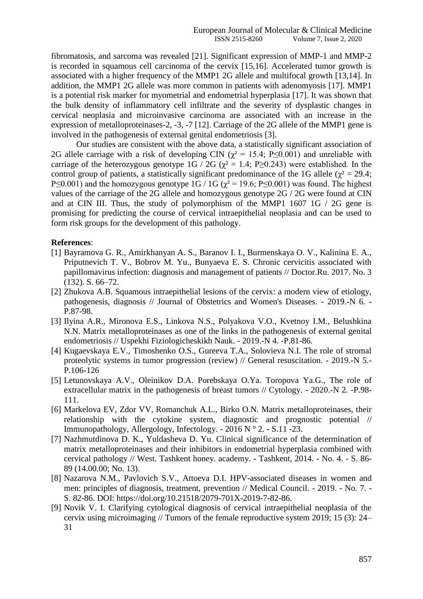fibromatosis, and sarcoma was revealed [21]. Significant expression of MMP-1 and MMP-2 is recorded in squamous cell carcinoma of the cervix [15,16]. Accelerated tumor growth is associated with a higher frequency of the MMP1 2G allele and multifocal growth [13,14]. In addition, the MMP1 2G allele was more common in patients with adenomyosis [17]. MMP1 is a potential risk marker for myometrial and endometrial hyperplasia [17]. It was shown that the bulk density of inflammatory cell infiltrate and the severity of dysplastic changes in cervical neoplasia and microinvasive carcinoma are associated with an increase in the expression of metalloproteinases-2, -3, -7 [12]. Carriage of the 2G allele of the MMP1 gene is involved in the pathogenesis of external genital endometriosis [3].

Our studies are consistent with the above data, a statistically significant association of 2G allele carriage with a risk of developing CIN ( $\chi^2$  = 15.4; P ≤0.001) and unreliable with carriage of the heterozygous genotype 1G / 2G ( $\chi^2$  = 1.4; P ≥ 0.243) were established. In the control group of patients, a statistically significant predominance of the 1G allele ( $\chi^2 = 29.4$ ; P $\leq$ 0.001) and the homozygous genotype 1G / 1G ( $\chi$ <sup>2</sup> = 19.6; P $\leq$ 0.001) was found. The highest values of the carriage of the 2G allele and homozygous genotype 2G / 2G were found at CIN and at CIN III. Thus, the study of polymorphism of the MMP1 1607 1G / 2G gene is promising for predicting the course of cervical intraepithelial neoplasia and can be used to form risk groups for the development of this pathology.

#### **References**:

- [1] Bayramova G. R., Amirkhanyan A. S., Baranov I. I., Burmenskaya O. V., Kalinina E. A., Priputnevich T. V., Bobrov M. Yu., Bunyaeva E. S. Chronic cervicitis associated with papillomavirus infection: diagnosis and management of patients // Doctor.Ru. 2017. No. 3 (132). S. 66–72.
- [2] Zhukova A.B. Squamous intraepithelial lesions of the cervix: a modern view of etiology, pathogenesis, diagnosis // Journal of Obstetrics and Women's Diseases. - 2019.-N 6. - P.87-98.
- [3] Ilyina A.R., Mironova E.S., Linkova N.S., Polyakova V.O., Kvetnoy I.M., Belushkina N.N. Matrix metalloproteinases as one of the links in the pathogenesis of external genital endometriosis // Uspekhi Fiziologicheskikh Nauk. - 2019.-N 4. -P.81-86.
- [4] Kugaevskaya E.V., Timoshenko O.S., Gureeva T.A., Solovieva N.I. The role of stromal proteolytic systems in tumor progression (review) // General resuscitation. - 2019.-N 5.- P.106-126
- [5] Letunovskaya A.V., Oleinikov D.A. Porebskaya O.Ya. Toropova Ya.G., The role of extracellular matrix in the pathogenesis of breast tumors // Cytology. - 2020.-N 2. -P.98- 111.
- [6] Markelova EV, Zdor VV, Romanchuk A.L., Birko O.N. Matrix metalloproteinases, their relationship with the cytokine system, diagnostic and prognostic potential // Immunopathology, Allergology, Infectology. - 2016 N ° 2. - S.11 -23.
- [7] Nazhmutdinova D. K., Yuldasheva D. Yu. Clinical significance of the determination of matrix metalloproteinases and their inhibitors in endometrial hyperplasia combined with cervical pathology // West. Tashkent honey. academy. - Tashkent, 2014. - No. 4. - S. 86- 89 (14.00.00; No. 13).
- [8] Nazarova N.M., Pavlovich S.V., Attoeva D.I. HPV-associated diseases in women and men: principles of diagnosis, treatment, prevention // Medical Council. - 2019. - No. 7. - S. 82-86. DOI: https://doi.org/10.21518/2079-701X-2019-7-82-86.
- [9] Novik V. I. Clarifying cytological diagnosis of cervical intraepithelial neoplasia of the cervix using microimaging // Tumors of the female reproductive system 2019; 15 (3): 24– 31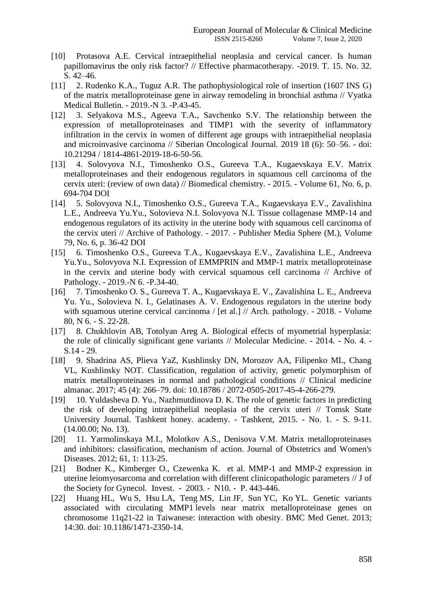- [10] Protasova A.E. Cervical intraepithelial neoplasia and cervical cancer. Is human papillomavirus the only risk factor? // Effective pharmacotherapy. -2019. T. 15. No. 32. S. 42–46.
- [11] 2. Rudenko K.A., Tuguz A.R. The pathophysiological role of insertion (1607 INS G) of the matrix metalloproteinase gene in airway remodeling in bronchial asthma // Vyatka Medical Bulletin. - 2019.-N 3. -P.43-45.
- [12] 3. Selyakova M.S., Ageeva T.A., Savchenko S.V. The relationship between the expression of metalloproteinases and TIMP1 with the severity of inflammatory infiltration in the cervix in women of different age groups with intraepithelial neoplasia and microinvasive carcinoma // Siberian Oncological Journal. 2019 18 (6): 50–56. - doi: 10.21294 / 1814-4861-2019-18-6-50-56.
- [13] 4. Solovyova N.I., Timoshenko O.S., Gureeva T.A., Kugaevskaya E.V. Matrix metalloproteinases and their endogenous regulators in squamous cell carcinoma of the cervix uteri: (review of own data) // Biomedical chemistry. - 2015. - Volume 61, No. 6, p. 694-704 DOI
- [14] 5. Solovyova N.I., Timoshenko O.S., Gureeva T.A., Kugaevskaya E.V., Zavalishina L.E., Andreeva Yu.Yu., Solovieva N.I. Solovyova N.I. Tissue collagenase MMP-14 and endogenous regulators of its activity in the uterine body with squamous cell carcinoma of the cervix uteri // Archive of Pathology. - 2017. - Publisher Media Sphere (M.), Volume 79, No. 6, p. 36-42 DOI
- [15] 6. Timoshenko O.S., Gureeva T.A., Kugaevskaya E.V., Zavalishina L.E., Andreeva Yu.Yu., Solovyova N.I. Expression of EMMPRIN and MMP-1 matrix metalloproteinase in the cervix and uterine body with cervical squamous cell carcinoma // Archive of Pathology. - 2019.-N 6. -P.34-40.
- [16] 7. Timoshenko O. S., Gureeva T. A., Kugaevskaya E. V., Zavalishina L. E., Andreeva Yu. Yu., Solovieva N. I., Gelatinases A. V. Endogenous regulators in the uterine body with squamous uterine cervical carcinoma / [et al.] // Arch. pathology. - 2018. - Volume 80, N 6. - S. 22-28.
- [17] 8. Chukhlovin AB, Totolyan Areg A. Biological effects of myometrial hyperplasia: the role of clinically significant gene variants // Molecular Medicine. - 2014. - No. 4. - S.14 - 29.
- [18] 9. Shadrina AS, Plieva YaZ, Kushlinsky DN, Morozov AA, Filipenko ML, Chang VL, Kushlinsky NOT. Classification, regulation of activity, genetic polymorphism of matrix metalloproteinases in normal and pathological conditions // Clinical medicine almanac. 2017; 45 (4): 266–79. doi: 10.18786 / 2072-0505-2017-45-4-266-279.
- [19] 10. Yuldasheva D. Yu., Nazhmutdinova D. K. The role of genetic factors in predicting the risk of developing intraepithelial neoplasia of the cervix uteri // Tomsk State University Journal. Tashkent honey. academy. - Tashkent, 2015. - No. 1. - S. 9-11. (14.00.00; No. 13).
- [20] 11. Yarmolinskaya M.I., Molotkov A.S., Denisova V.M. Matrix metalloproteinases and inhibitors: classification, mechanism of action. Journal of Obstetrics and Women's Diseases. 2012; 61, 1: 113-25.
- [21] Bodner K., Kimberger O., Czewenka K. et al. MMP-1 and MMP-2 expression in uterine leiomyosarcoma and correlation with different clinicopathologic parameters // J of the Society for Gynecol. Invest. - 2003. - N10. - P. 443-446.
- [22] Huang HL, Wu S, Hsu LA, Teng MS, Lin JF, Sun YC, Ko YL. Genetic variants associated with circulating MMP1 levels near matrix metalloproteinase genes on chromosome 11q21-22 in Taiwanese: interaction with obesity. BMC Med Genet. 2013; 14:30. doi: 10.1186/1471-2350-14.